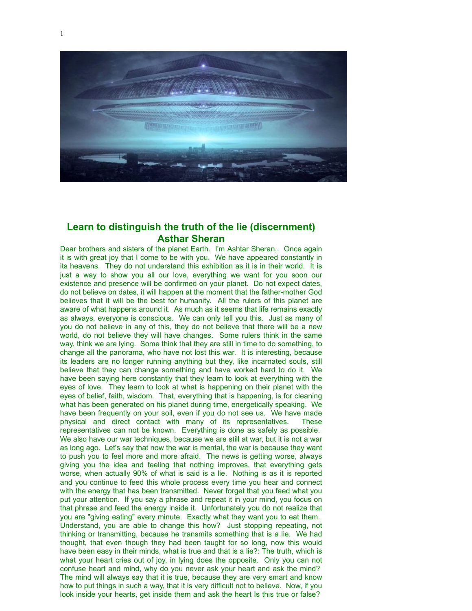

## **Learn to distinguish the truth of the lie (discernment) Asthar Sheran**

Dear brothers and sisters of the planet Earth. I'm Ashtar Sheran,. Once again it is with great joy that I come to be with you. We have appeared constantly in its heavens. They do not understand this exhibition as it is in their world. It is just a way to show you all our love, everything we want for you soon our existence and presence will be confirmed on your planet. Do not expect dates, do not believe on dates, it will happen at the moment that the father-mother God believes that it will be the best for humanity. All the rulers of this planet are aware of what happens around it. As much as it seems that life remains exactly as always, everyone is conscious. We can only tell you this. Just as many of you do not believe in any of this, they do not believe that there will be a new world, do not believe they will have changes. Some rulers think in the same way, think we are lying. Some think that they are still in time to do something, to change all the panorama, who have not lost this war. It is interesting, because its leaders are no longer running anything but they, like incarnated souls, still believe that they can change something and have worked hard to do it. We have been saying here constantly that they learn to look at everything with the eyes of love. They learn to look at what is happening on their planet with the eyes of belief, faith, wisdom. That, everything that is happening, is for cleaning what has been generated on his planet during time, energetically speaking. We have been frequently on your soil, even if you do not see us. We have made physical and direct contact with many of its representatives. These representatives can not be known. Everything is done as safely as possible. We also have our war techniques, because we are still at war, but it is not a war as long ago. Let's say that now the war is mental, the war is because they want to push you to feel more and more afraid. The news is getting worse, always giving you the idea and feeling that nothing improves, that everything gets worse, when actually 90% of what is said is a lie. Nothing is as it is reported and you continue to feed this whole process every time you hear and connect with the energy that has been transmitted. Never forget that you feed what you put your attention. If you say a phrase and repeat it in your mind, you focus on that phrase and feed the energy inside it. Unfortunately you do not realize that you are "giving eating" every minute. Exactly what they want you to eat them. Understand, you are able to change this how? Just stopping repeating, not thinking or transmitting, because he transmits something that is a lie. We had thought, that even though they had been taught for so long, now this would have been easy in their minds, what is true and that is a lie?: The truth, which is what your heart cries out of joy, in lying does the opposite. Only you can not confuse heart and mind, why do you never ask your heart and ask the mind? The mind will always say that it is true, because they are very smart and know how to put things in such a way, that it is very difficult not to believe. Now, if you look inside your hearts, get inside them and ask the heart Is this true or false?